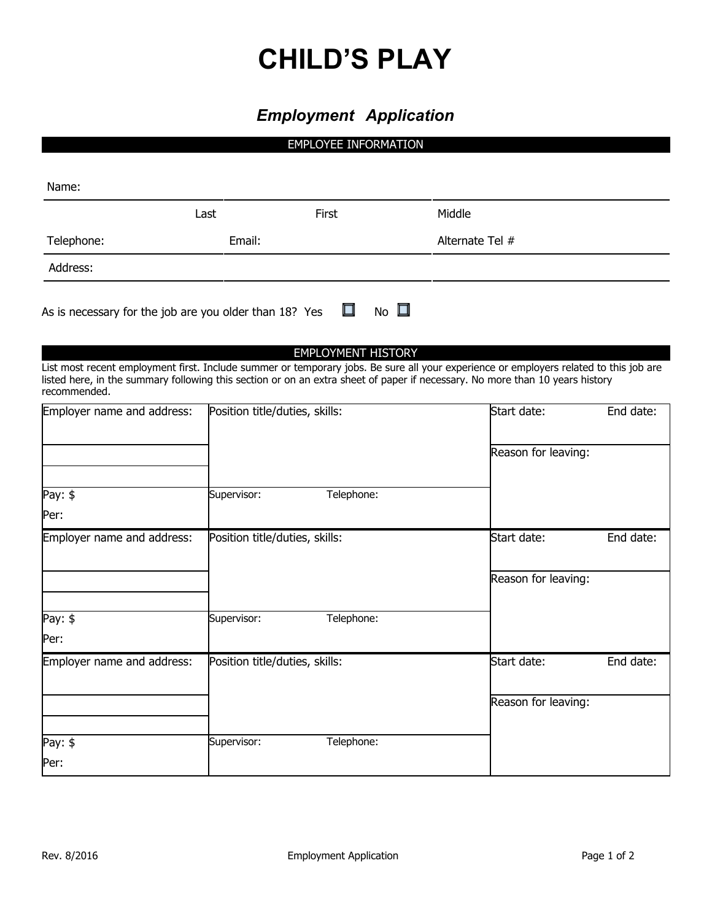# **CHILD'S PLAY**

## *Employment Application*

### EMPLOYEE INFORMATION

| Name:                                                                                                                                                                                                                                                                                 |             |                                |                 |                     |           |
|---------------------------------------------------------------------------------------------------------------------------------------------------------------------------------------------------------------------------------------------------------------------------------------|-------------|--------------------------------|-----------------|---------------------|-----------|
|                                                                                                                                                                                                                                                                                       | Last        | First                          | Middle          |                     |           |
| Telephone:                                                                                                                                                                                                                                                                            | Email:      |                                | Alternate Tel # |                     |           |
| Address:                                                                                                                                                                                                                                                                              |             |                                |                 |                     |           |
| As is necessary for the job are you older than 18? Yes                                                                                                                                                                                                                                |             | $\Box$                         | No $\square$    |                     |           |
| List most recent employment first. Include summer or temporary jobs. Be sure all your experience or employers related to this job are<br>listed here, in the summary following this section or on an extra sheet of paper if necessary. No more than 10 years history<br>recommended. |             | <b>EMPLOYMENT HISTORY</b>      |                 |                     |           |
| Employer name and address:                                                                                                                                                                                                                                                            |             | Position title/duties, skills: |                 | Start date:         | End date: |
|                                                                                                                                                                                                                                                                                       |             |                                |                 | Reason for leaving: |           |
| Pay: $$$                                                                                                                                                                                                                                                                              | Supervisor: | Telephone:                     |                 |                     |           |
| Per:                                                                                                                                                                                                                                                                                  |             |                                |                 |                     |           |
| Employer name and address:                                                                                                                                                                                                                                                            |             | Position title/duties, skills: |                 | Start date:         | End date: |
|                                                                                                                                                                                                                                                                                       |             |                                |                 | Reason for leaving: |           |
| Pay: \$                                                                                                                                                                                                                                                                               | Supervisor: | Telephone:                     |                 |                     |           |
| Per:                                                                                                                                                                                                                                                                                  |             |                                |                 |                     |           |
| Employer name and address:                                                                                                                                                                                                                                                            |             | Position title/duties, skills: |                 | Start date:         | End date: |
|                                                                                                                                                                                                                                                                                       |             |                                |                 | Reason for leaving: |           |
| Pay: $$$                                                                                                                                                                                                                                                                              | Supervisor: | Telephone:                     |                 |                     |           |
| Per:                                                                                                                                                                                                                                                                                  |             |                                |                 |                     |           |